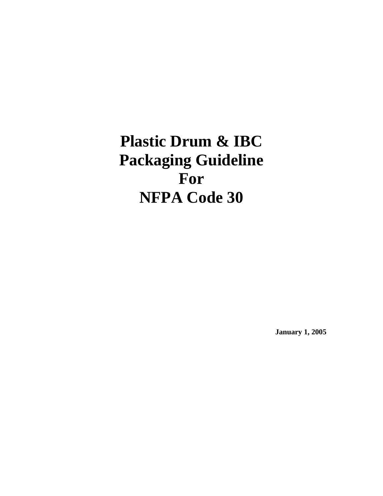# **Plastic Drum & IBC Packaging Guideline For NFPA Code 30**

**January 1, 2005**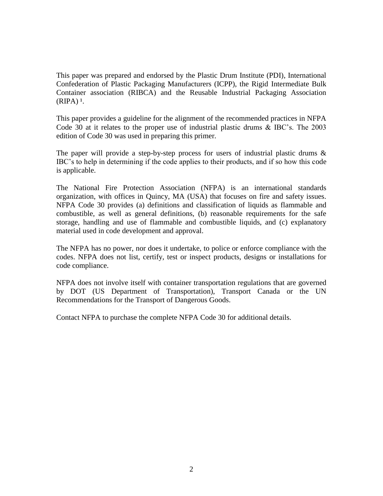This paper was prepared and endorsed by the Plastic Drum Institute (PDI), International Confederation of Plastic Packaging Manufacturers (ICPP), the Rigid Intermediate Bulk Container association (RIBCA) and the Reusable Industrial Packaging Association  $(RIPA)^1$ .

This paper provides a guideline for the alignment of the recommended practices in NFPA Code 30 at it relates to the proper use of industrial plastic drums & IBC's. The 2003 edition of Code 30 was used in preparing this primer.

The paper will provide a step-by-step process for users of industrial plastic drums  $\&$ IBC's to help in determining if the code applies to their products, and if so how this code is applicable.

The National Fire Protection Association (NFPA) is an international standards organization, with offices in Quincy, MA (USA) that focuses on fire and safety issues. NFPA Code 30 provides (a) definitions and classification of liquids as flammable and combustible, as well as general definitions, (b) reasonable requirements for the safe storage, handling and use of flammable and combustible liquids, and (c) explanatory material used in code development and approval.

The NFPA has no power, nor does it undertake, to police or enforce compliance with the codes. NFPA does not list, certify, test or inspect products, designs or installations for code compliance.

NFPA does not involve itself with container transportation regulations that are governed by DOT (US Department of Transportation), Transport Canada or the UN Recommendations for the Transport of Dangerous Goods.

Contact NFPA to purchase the complete NFPA Code 30 for additional details.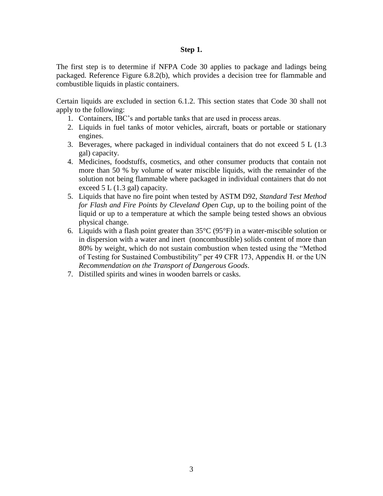#### **Step 1.**

The first step is to determine if NFPA Code 30 applies to package and ladings being packaged. Reference Figure 6.8.2(b), which provides a decision tree for flammable and combustible liquids in plastic containers.

Certain liquids are excluded in section 6.1.2. This section states that Code 30 shall not apply to the following:

- 1. Containers, IBC's and portable tanks that are used in process areas.
- 2. Liquids in fuel tanks of motor vehicles, aircraft, boats or portable or stationary engines.
- 3. Beverages, where packaged in individual containers that do not exceed 5 L (1.3 gal) capacity.
- 4. Medicines, foodstuffs, cosmetics, and other consumer products that contain not more than 50 % by volume of water miscible liquids, with the remainder of the solution not being flammable where packaged in individual containers that do not exceed 5 L (1.3 gal) capacity.
- 5. Liquids that have no fire point when tested by ASTM D92, *Standard Test Method for Flash and Fire Points by Cleveland Open Cup*, up to the boiling point of the liquid or up to a temperature at which the sample being tested shows an obvious physical change.
- 6. Liquids with a flash point greater than  $35^{\circ}$ C (95°F) in a water-miscible solution or in dispersion with a water and inert (noncombustible) solids content of more than 80% by weight, which do not sustain combustion when tested using the "Method of Testing for Sustained Combustibility" per 49 CFR 173, Appendix H. or the UN *Recommendation on the Transport of Dangerous Goods*.
- 7. Distilled spirits and wines in wooden barrels or casks.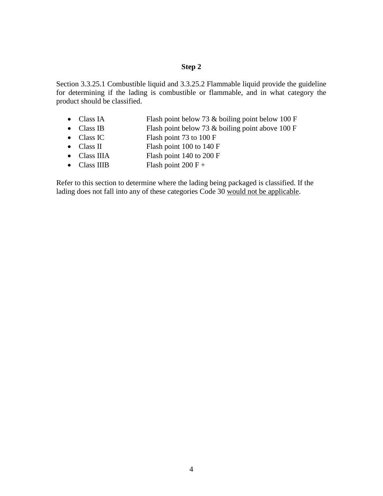Section 3.3.25.1 Combustible liquid and 3.3.25.2 Flammable liquid provide the guideline for determining if the lading is combustible or flammable, and in what category the product should be classified.

- Class IA Flash point below 73 & boiling point below 100 F
- Class IB Flash point below 73 & boiling point above 100 F
- Class IC Flash point 73 to 100 F
- Class II Flash point 100 to 140 F
- Class IIIA Flash point 140 to 200 F
- Class IIIB Flash point  $200 F +$

Refer to this section to determine where the lading being packaged is classified. If the lading does not fall into any of these categories Code 30 would not be applicable.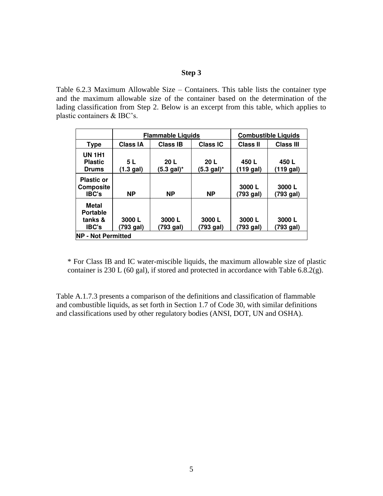Table 6.2.3 Maximum Allowable Size – Containers. This table lists the container type and the maximum allowable size of the container based on the determination of the lading classification from Step 2. Below is an excerpt from this table, which applies to plastic containers & IBC's.

|                                                       | <b>Flammable Liquids</b> |                                          |                                          | <b>Combustible Liquids</b> |                    |  |  |
|-------------------------------------------------------|--------------------------|------------------------------------------|------------------------------------------|----------------------------|--------------------|--|--|
| <b>Type</b>                                           | <b>Class IA</b>          | <b>Class IB</b>                          | Class IC                                 | <b>Class II</b>            | <b>Class III</b>   |  |  |
| <b>UN 1H1</b><br><b>Plastic</b><br><b>Drums</b>       | 5 L<br>(1.3 gal)         | 20 <sub>L</sub><br>$(5.3 \text{ gal})^*$ | 20 <sub>L</sub><br>$(5.3 \text{ gal})^*$ | 450 L<br>(119 gal)         | 450 L<br>(119 gal) |  |  |
| <b>Plastic or</b><br><b>Composite</b><br><b>IBC's</b> | <b>NP</b>                | <b>NP</b>                                | <b>NP</b>                                | 3000L<br>(793 gal)         | 3000L<br>(793 gal) |  |  |
| Metal<br><b>Portable</b><br>tanks &<br><b>IBC's</b>   | 3000L<br>(793 gal)       | 3000L<br>(793 gal)                       | 3000L<br>(793 gal)                       | 3000L<br>(793 gal)         | 3000L<br>(793 gal) |  |  |
| <b>NP - Not Permitted</b>                             |                          |                                          |                                          |                            |                    |  |  |

\* For Class IB and IC water-miscible liquids, the maximum allowable size of plastic container is 230 L (60 gal), if stored and protected in accordance with Table 6.8.2(g).

Table A.1.7.3 presents a comparison of the definitions and classification of flammable and combustible liquids, as set forth in Section 1.7 of Code 30, with similar definitions and classifications used by other regulatory bodies (ANSI, DOT, UN and OSHA).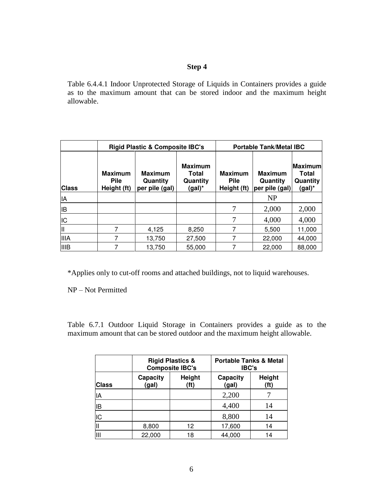Table 6.4.4.1 Indoor Unprotected Storage of Liquids in Containers provides a guide as to the maximum amount that can be stored indoor and the maximum height allowable.

|              | <b>Rigid Plastic &amp; Composite IBC's</b>   |                                              |                                                  | <b>Portable Tank/Metal IBC</b>               |                                              |                                         |  |
|--------------|----------------------------------------------|----------------------------------------------|--------------------------------------------------|----------------------------------------------|----------------------------------------------|-----------------------------------------|--|
| <b>Class</b> | <b>Maximum</b><br><b>Pile</b><br>Height (ft) | <b>Maximum</b><br>Quantity<br>per pile (gal) | <b>Maximum</b><br>Total<br>Quantity<br>$(gal)^*$ | <b>Maximum</b><br><b>Pile</b><br>Height (ft) | <b>Maximum</b><br>Quantity<br>per pile (gal) | Maximuml<br>Total<br>Quantity<br>(gal)* |  |
| İΙA          |                                              |                                              |                                                  |                                              | <b>NP</b>                                    |                                         |  |
| lВ           |                                              |                                              |                                                  | 7                                            | 2,000                                        | 2,000                                   |  |
| IC           |                                              |                                              |                                                  | 7                                            | 4,000                                        | 4,000                                   |  |
| Ш            |                                              | 4,125                                        | 8,250                                            |                                              | 5,500                                        | 11,000                                  |  |
| <b>IIIA</b>  |                                              | 13,750                                       | 27,500                                           |                                              | 22,000                                       | 44,000                                  |  |
| <b>IIIB</b>  |                                              | 13,750                                       | 55,000                                           |                                              | 22,000                                       | 88,000                                  |  |

\*Applies only to cut-off rooms and attached buildings, not to liquid warehouses.

NP – Not Permitted

Table 6.7.1 Outdoor Liquid Storage in Containers provides a guide as to the maximum amount that can be stored outdoor and the maximum height allowable.

|              |                   | <b>Rigid Plastics &amp;</b><br><b>Composite IBC's</b> | <b>Portable Tanks &amp; Metal</b><br><b>IBC's</b> |                |  |
|--------------|-------------------|-------------------------------------------------------|---------------------------------------------------|----------------|--|
| <b>Class</b> | Capacity<br>(gal) | Height<br>(f <sub>t</sub> )                           | Capacity<br>(gal)                                 | Height<br>(ft) |  |
| ΙA           |                   |                                                       | 2,200                                             |                |  |
| ΙB           |                   |                                                       | 4,400                                             | 14             |  |
| IC           |                   |                                                       | 8,800                                             | 14             |  |
|              | 8,800             | 12                                                    | 17,600                                            | 14             |  |
| Ш            | 22,000            | 18                                                    | 44,000                                            | 14             |  |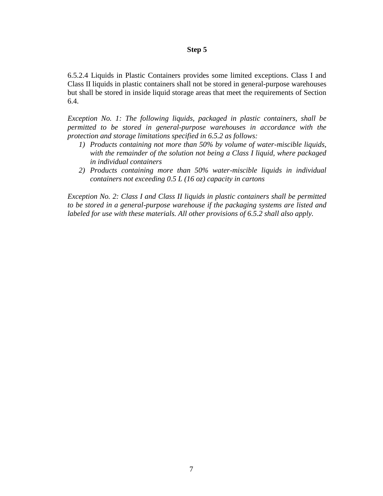6.5.2.4 Liquids in Plastic Containers provides some limited exceptions. Class I and Class II liquids in plastic containers shall not be stored in general-purpose warehouses but shall be stored in inside liquid storage areas that meet the requirements of Section 6.4.

*Exception No. 1: The following liquids, packaged in plastic containers, shall be permitted to be stored in general-purpose warehouses in accordance with the protection and storage limitations specified in 6.5.2 as follows:* 

- *1) Products containing not more than 50% by volume of water-miscible liquids, with the remainder of the solution not being a Class I liquid, where packaged in individual containers*
- *2) Products containing more than 50% water-miscible liquids in individual containers not exceeding 0.5 L (16 oz) capacity in cartons*

*Exception No. 2: Class I and Class II liquids in plastic containers shall be permitted to be stored in a general-purpose warehouse if the packaging systems are listed and labeled for use with these materials. All other provisions of 6.5.2 shall also apply.*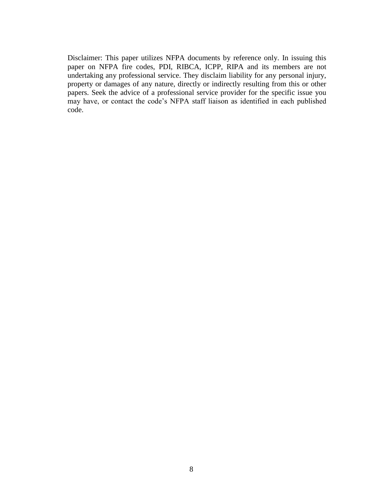Disclaimer: This paper utilizes NFPA documents by reference only. In issuing this paper on NFPA fire codes, PDI, RIBCA, ICPP, RIPA and its members are not undertaking any professional service. They disclaim liability for any personal injury, property or damages of any nature, directly or indirectly resulting from this or other papers. Seek the advice of a professional service provider for the specific issue you may have, or contact the code's NFPA staff liaison as identified in each published code.